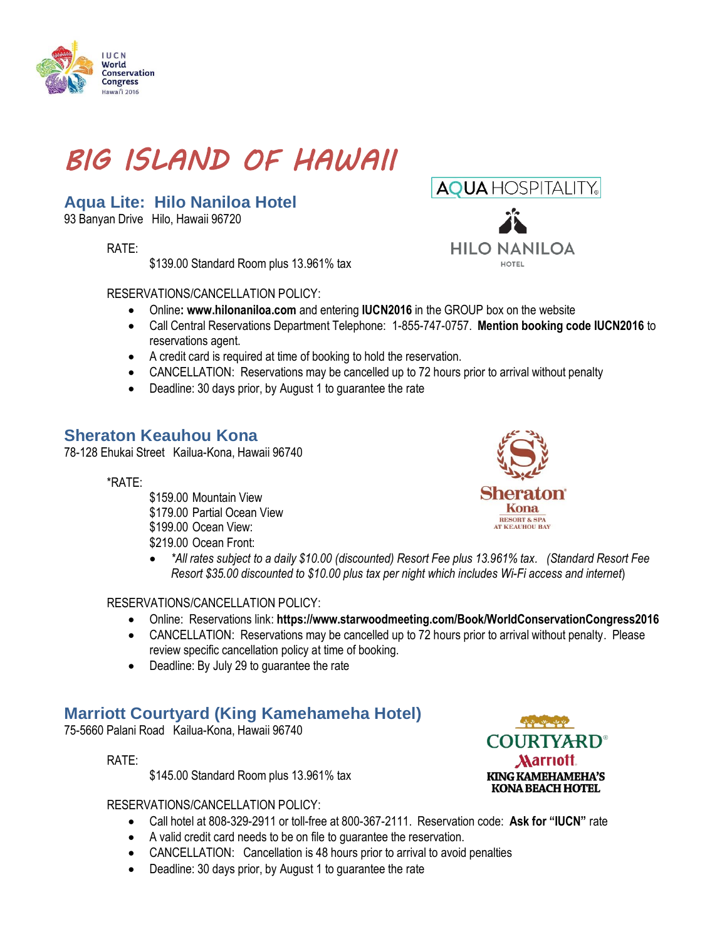# *BIG ISLAND OF HAWAII*

### **Aqua Lite: Hilo Naniloa Hotel**

93 Banyan Drive Hilo, Hawaii 96720

RATE:

IUCN World **Conservation Congress** lawai<sup>"</sup>i 2016

\$139.00 Standard Room plus 13.961% tax

RESERVATIONS/CANCELLATION POLICY:

- Online**: [www.hilonaniloa.com](http://www.hilonaniloa.com/)** and entering **IUCN2016** in the GROUP box on the website
- Call Central Reservations Department Telephone: 1-855-747-0757. **Mention booking code IUCN2016** to reservations agent.
- A credit card is required at time of booking to hold the reservation.
- CANCELLATION: Reservations may be cancelled up to 72 hours prior to arrival without penalty
- Deadline: 30 days prior, by August 1 to guarantee the rate

#### **Sheraton Keauhou Kona**

78-128 Ehukai Street Kailua-Kona, Hawaii 96740

\*RATE:

\$159.00 Mountain View \$179.00 Partial Ocean View \$199.00 Ocean View: \$219.00 Ocean Front:



 *\*All rates subject to a daily \$10.00 (discounted) Resort Fee plus 13.961% tax. (Standard Resort Fee Resort \$35.00 discounted to \$10.00 plus tax per night which includes Wi-Fi access and internet*)

RESERVATIONS/CANCELLATION POLICY:

- Online: Reservations link: **<https://www.starwoodmeeting.com/Book/WorldConservationCongress2016>**
- CANCELLATION: Reservations may be cancelled up to 72 hours prior to arrival without penalty. Please review specific cancellation policy at time of booking.
- Deadline: By July 29 to guarantee the rate

#### **Marriott Courtyard (King Kamehameha Hotel)**

75-5660 Palani Road Kailua-Kona, Hawaii 96740

RATE:

\$145.00 Standard Room plus 13.961% tax

RESERVATIONS/CANCELLATION POLICY:

- Call hotel at 808-329-2911 or toll-free at [800-367-2111.](tel:800-367-2111) Reservation code: **Ask for "IUCN"** rate
- A valid credit card needs to be on file to guarantee the reservation.
- CANCELLATION: Cancellation is 48 hours prior to arrival to avoid penalties
- Deadline: 30 days prior, by August 1 to guarantee the rate